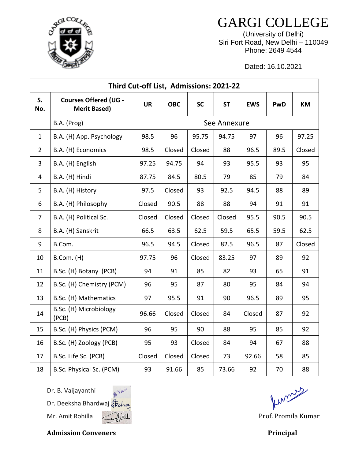GARGI COLLEGE (University of Delhi) Siri Fort Road, New Delhi – 110049

Phone: 2649 4544

Dated: 16.10.2021

| Third Cut-off List, Admissions: 2021-22 |                                                     |              |            |           |           |            |      |           |  |  |  |  |
|-----------------------------------------|-----------------------------------------------------|--------------|------------|-----------|-----------|------------|------|-----------|--|--|--|--|
| S.<br>No.                               | <b>Courses Offered (UG -</b><br><b>Merit Based)</b> | <b>UR</b>    | <b>OBC</b> | <b>SC</b> | <b>ST</b> | <b>EWS</b> | PwD  | <b>KM</b> |  |  |  |  |
|                                         | B.A. (Prog)                                         | See Annexure |            |           |           |            |      |           |  |  |  |  |
| 1                                       | B.A. (H) App. Psychology                            | 98.5         | 96         | 95.75     | 94.75     | 97         | 96   | 97.25     |  |  |  |  |
| $\overline{2}$                          | B.A. (H) Economics                                  | 98.5         | Closed     | Closed    | 88        | 96.5       | 89.5 | Closed    |  |  |  |  |
| 3                                       | B.A. (H) English                                    | 97.25        | 94.75      | 94        | 93        | 95.5       | 93   | 95        |  |  |  |  |
| $\overline{4}$                          | B.A. (H) Hindi                                      | 87.75        | 84.5       | 80.5      | 79        | 85         | 79   | 84        |  |  |  |  |
| 5                                       | B.A. (H) History                                    | 97.5         | Closed     | 93        | 92.5      | 94.5       | 88   | 89        |  |  |  |  |
| 6                                       | B.A. (H) Philosophy                                 | Closed       | 90.5       | 88        | 88        | 94         | 91   | 91        |  |  |  |  |
| $\overline{7}$                          | B.A. (H) Political Sc.                              | Closed       | Closed     | Closed    | Closed    | 95.5       | 90.5 | 90.5      |  |  |  |  |
| 8                                       | B.A. (H) Sanskrit                                   | 66.5         | 63.5       | 62.5      | 59.5      | 65.5       | 59.5 | 62.5      |  |  |  |  |
| 9                                       | B.Com.                                              | 96.5         | 94.5       | Closed    | 82.5      | 96.5       | 87   | Closed    |  |  |  |  |
| 10                                      | B.Com. (H)                                          | 97.75        | 96         | Closed    | 83.25     | 97         | 89   | 92        |  |  |  |  |
| 11                                      | B.Sc. (H) Botany (PCB)                              | 94           | 91         | 85        | 82        | 93         | 65   | 91        |  |  |  |  |
| 12                                      | B.Sc. (H) Chemistry (PCM)                           | 96           | 95         | 87        | 80        | 95         | 84   | 94        |  |  |  |  |
| 13                                      | B.Sc. (H) Mathematics                               | 97           | 95.5       | 91        | 90        | 96.5       | 89   | 95        |  |  |  |  |
| 14                                      | B.Sc. (H) Microbiology<br>(PCB)                     | 96.66        | Closed     | Closed    | 84        | Closed     | 87   | 92        |  |  |  |  |
| 15                                      | B.Sc. (H) Physics (PCM)                             | 96           | 95         | 90        | 88        | 95         | 85   | 92        |  |  |  |  |
| 16                                      | B.Sc. (H) Zoology (PCB)                             | 95           | 93         | Closed    | 84        | 94         | 67   | 88        |  |  |  |  |
| 17                                      | B.Sc. Life Sc. (PCB)                                | Closed       | Closed     | Closed    | 73        | 92.66      | 58   | 85        |  |  |  |  |
| 18                                      | B.Sc. Physical Sc. (PCM)                            | 93           | 91.66      | 85        | 73.66     | 92         | 70   | 88        |  |  |  |  |

Dr. B. Vaijayanthi Dr. Deeksha Bhardwaj Mr. Amit Rohilla *Mill* Milled Library and Prof. Promila Kumar



Admission Conveners **Principal** 

ferrars